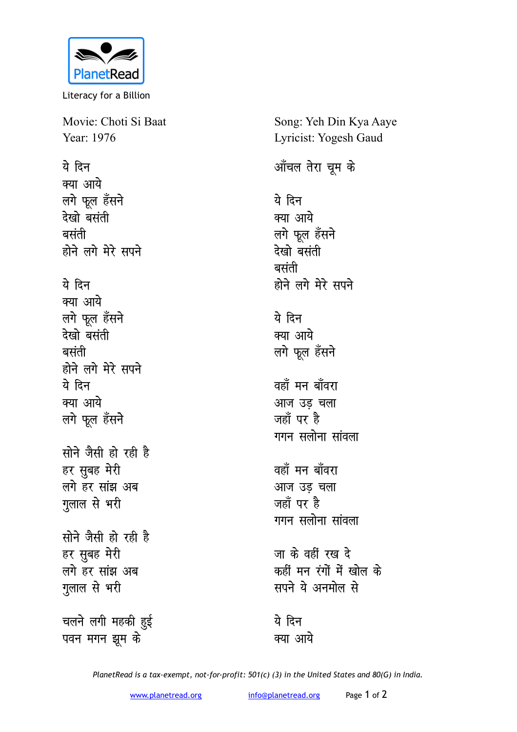

Literacy for a Billion

Movie: Choti Si Baat Year: 1976

<u>ये दिन</u> **क्या आये** *लगे फूल हँसने* **ns[kks clarh clarh** होने लगे मेरे सपने

## <u>ये</u> दिन

क्या आये लगे फूल हँसने देखो बसंती **clarh** होने लगे मेरे सपने <u>ये दिन</u> **क्या आये** लगे फूल हँसने

**सोने जैसी हो रही है** हर सुबह मेरी लगे हर सांझ अब गुलाल से भरी

**सोने जैसी हो रही है** हर सुबह मेरी लगे हर सांझ अब **गुलाल से भरी** 

चलने लगी महकी <u>ह</u>ुई पवन मगन झूम के

Song: Yeh Din Kya Aaye Lyricist: Yogesh Gaud

<u>ऑॅचल तेरा चू</u>म के

ये दिन क्या आये लगे फूल हँसने <u>देखो</u> बसंती **clarh** होने लगे मेरे सपने ये दिन क्या आये लगे फूल हँसने वहाँ मन बाँवरा <u>आज उड़ चला</u> जहाँ पर है गगन सलोना सांवला वहाँ मन बाँवरा <u>आज उड़ चला</u> जहाँ पर है गगन सलोना सांवला जा के वहीं रख दे कहीं मन रंगों में खोल क<mark>े</mark> **सपने** ये अनमोल से

ये दिन क्या आये

*PlanetRead is a tax-exempt, not-for-profit: 501(c) (3) in the United States and 80(G) in India.*